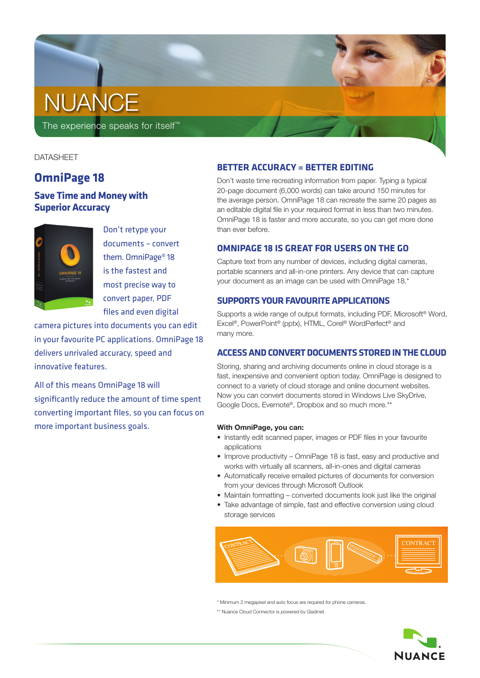# **NUANCE**

The experience speaks for itself<sup>™</sup>

# **DATASHEET**

# **OmniPage 18**

# **Save Time and Money with Superior Accuracy**



Don't retype your documents – convert them. OmniPage® 18 is the fastest and most precise way to convert paper, PDF files and even digital

camera pictures into documents you can edit in your favourite PC applications. OmniPage 18 delivers unrivaled accuracy, speed and innovative features.

All of this means OmniPage 18 will significantly reduce the amount of time spent converting important files, so you can focus on more important business goals.

# **BETTER ACCURACY = BETTER EDITING**

Don't waste time recreating information from paper. Typing a typical 20-page document (6,000 words) can take around 150 minutes for the average person. OmniPage 18 can recreate the same 20 pages as an editable digital file in your required format in less than two minutes. OmniPage 18 is faster and more accurate, so you can get more done than ever before.

# **OmniPage 18 is great for Users on the go**

Capture text from any number of devices, including digital cameras, portable scanners and all-in-one printers. Any device that can capture your document as an image can be used with OmniPage 18.\*

# **Supports your favourite apPlications**

Supports a wide range of output formats, including PDF, Microsoft® Word, Excel®, PowerPoint® (pptx), HTML, Corel® WordPerfect® and many more.

# **ACCESS AND CONVERT DOCUMENTS STORED IN THE CLOUD**

Storing, sharing and archiving documents online in cloud storage is a fast, inexpensive and convenient option today. OmniPage is designed to connect to a variety of cloud storage and online document websites. Now you can convert documents stored in Windows Live SkyDrive, Google Docs, Evernote®, Dropbox and so much more.\*\*

## **With OmniPage, you can:**

- Instantly edit scanned paper, images or PDF files in your favourite applications
- Improve productivity OmniPage 18 is fast, easy and productive and works with virtually all scanners, all-in-ones and digital cameras
- Automatically receive emailed pictures of documents for conversion from your devices through Microsoft Outlook
- Maintain formatting converted documents look just like the original
- Take advantage of simple, fast and effective conversion using cloud storage services



\* Minimum 2 megapixel and auto focus are required for phone cameras.

\*\* Nuance Cloud Connector is powered by Gladinet.